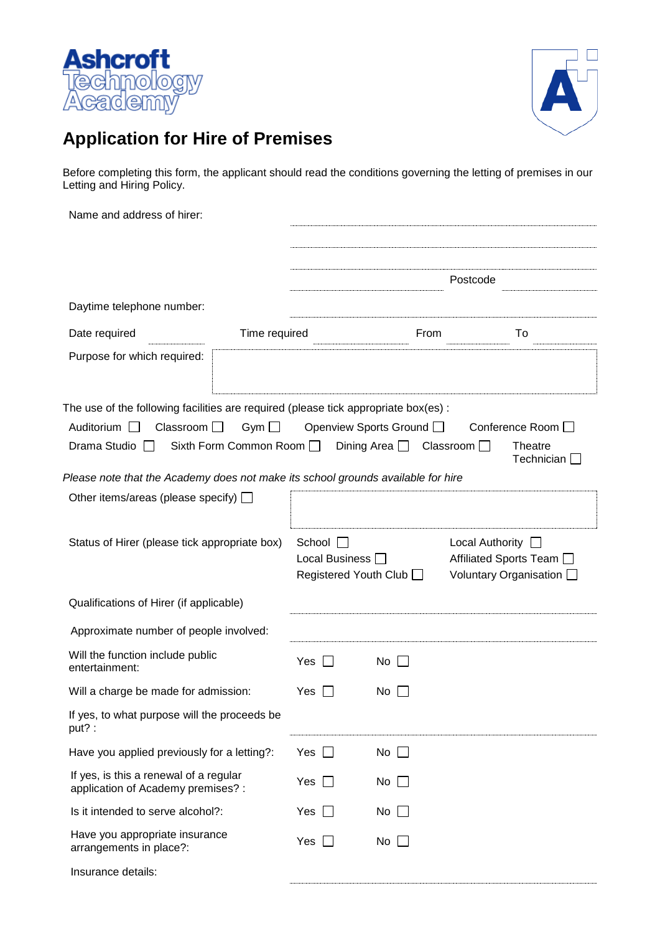



## **Application for Hire of Premises**

Before completing this form, the applicant should read the conditions governing the letting of premises in our Letting and Hiring Policy.

| Name and address of hirer:                                                                                                                  |                                      |                                        |                                                |                        |                                                      |
|---------------------------------------------------------------------------------------------------------------------------------------------|--------------------------------------|----------------------------------------|------------------------------------------------|------------------------|------------------------------------------------------|
|                                                                                                                                             |                                      |                                        |                                                | Postcode               |                                                      |
| Daytime telephone number:                                                                                                                   |                                      |                                        |                                                |                        |                                                      |
| Date required                                                                                                                               | Time required                        |                                        | From                                           |                        | To                                                   |
| Purpose for which required:                                                                                                                 |                                      |                                        |                                                |                        |                                                      |
| The use of the following facilities are required (please tick appropriate box(es):<br>Auditorium $\Box$<br>Classroom $\Box$<br>Drama Studio | Gym $\Box$<br>Sixth Form Common Room |                                        | Openview Sports Ground I<br>Dining Area $\Box$ | Classroom $\Box$       | Conference Room □<br><b>Theatre</b><br>Technician [  |
| Please note that the Academy does not make its school grounds available for hire<br>Other items/areas (please specify) $\Box$               |                                      |                                        |                                                |                        |                                                      |
| Status of Hirer (please tick appropriate box)                                                                                               |                                      | School $\Box$<br>Local Business $\Box$ | Registered Youth Club □                        | Local Authority $\Box$ | Affiliated Sports Team □<br>Voluntary Organisation [ |
| Qualifications of Hirer (if applicable)                                                                                                     |                                      |                                        |                                                |                        |                                                      |
| Approximate number of people involved:                                                                                                      |                                      |                                        |                                                |                        |                                                      |
| Will the function include public<br>entertainment:                                                                                          |                                      | Yes                                    | No                                             |                        |                                                      |
| Will a charge be made for admission:                                                                                                        |                                      | Yes                                    | No.                                            |                        |                                                      |
| If yes, to what purpose will the proceeds be<br>put?:                                                                                       |                                      |                                        |                                                |                        |                                                      |
| Have you applied previously for a letting?:                                                                                                 |                                      | Yes                                    | No $\Box$                                      |                        |                                                      |
| If yes, is this a renewal of a regular<br>application of Academy premises? :                                                                |                                      | Yes                                    | $No$ $\Box$                                    |                        |                                                      |
| Is it intended to serve alcohol?:                                                                                                           |                                      | Yes                                    | No                                             |                        |                                                      |
| Have you appropriate insurance<br>arrangements in place?:                                                                                   |                                      | Yes                                    | No                                             |                        |                                                      |
| Insurance details:                                                                                                                          |                                      |                                        |                                                |                        |                                                      |